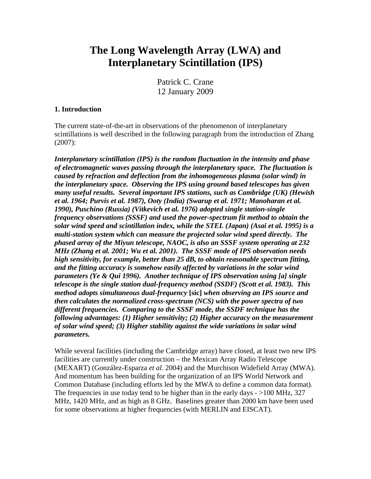# **The Long Wavelength Array (LWA) and Interplanetary Scintillation (IPS)**

Patrick C. Crane 12 January 2009

### **1. Introduction**

The current state-of-the-art in observations of the phenomenon of interplanetary scintillations is well described in the following paragraph from the introduction of Zhang (2007):

*Interplanetary scintillation (IPS) is the random fluctuation in the intensity and phase of electromagnetic waves passing through the interplanetary space. The fluctuation is caused by refraction and deflection from the inhomogeneous plasma (solar wind) in the interplanetary space. Observing the IPS using ground based telescopes has given many useful results. Several important IPS stations, such as Cambridge (UK) (Hewish et al. 1964; Purvis et al. 1987), Ooty (India) (Swarup et al. 1971; Manoharan et al. 1990), Puschino (Russia) (Vitkevich et al. 1976) adopted single station-single frequency observations (SSSF) and used the power-spectrum fit method to obtain the solar wind speed and scintillation index, while the STEL (Japan) (Asai et al. 1995) is a multi-station system which can measure the projected solar wind speed directly. The phased array of the Miyun telescope, NAOC, is also an SSSF system operating at 232 MHz (Zhang et al. 2001; Wu et al. 2001). The SSSF mode of IPS observation needs high sensitivity, for example, better than 25 dB, to obtain reasonable spectrum fitting, and the fitting accuracy is somehow easily affected by variations in the solar wind parameters (Ye & Qui 1996). Another technique of IPS observation using [a] single telescope is the single station dual-frequency method (SSDF) (Scott et al. 1983). This method adopts simultaneous dual-frequency* **[sic]** *when observing an IPS source and then calculates the normalized cross-spectrum (NCS) with the power spectra of two different frequencies. Comparing to the SSSF mode, the SSDF technique has the following advantages: (1) Higher sensitivity; (2) Higher accuracy on the measurement of solar wind speed; (3) Higher stability against the wide variations in solar wind parameters.*

While several facilities (including the Cambridge array) have closed, at least two new IPS facilities are currently under construction – the Mexican Array Radio Telescope (MEXART) (González-Esparza *et al.* 2004) and the Murchison Widefield Array (MWA). And momentum has been building for the organization of an IPS World Network and Common Database (including efforts led by the MWA to define a common data format). The frequencies in use today tend to be higher than in the early days  $-$  >100 MHz, 327 MHz, 1420 MHz, and as high as 8 GHz. Baselines greater than 2000 km have been used for some observations at higher frequencies (with MERLIN and EISCAT).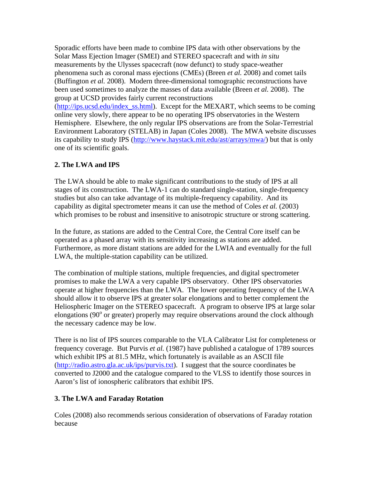Sporadic efforts have been made to combine IPS data with other observations by the Solar Mass Ejection Imager (SMEI) and STEREO spacecraft and with *in situ* measurements by the Ulysses spacecraft (now defunct) to study space-weather phenomena such as coronal mass ejections (CMEs) (Breen *et al.* 2008) and comet tails (Buffington *et al.* 2008). Modern three-dimensional tomographic reconstructions have been used sometimes to analyze the masses of data available (Breen *et al.* 2008). The group at UCSD provides fairly current reconstructions ([http://ips.ucsd.edu/index\\_ss.html](http://ips.ucsd.edu/index_ss.html)). Except for the MEXART, which seems to be coming online very slowly, there appear to be no operating IPS observatories in the Western Hemisphere. Elsewhere, the only regular IPS observations are from the Solar-Terrestrial Environment Laboratory (STELAB) in Japan (Coles 2008). The MWA website discusses its capability to study IPS [\(http://www.haystack.mit.edu/ast/arrays/mwa/\)](http://www.haystack.mit.edu/ast/arrays/mwa/) but that is only one of its scientific goals.

## **2. The LWA and IPS**

The LWA should be able to make significant contributions to the study of IPS at all stages of its construction. The LWA-1 can do standard single-station, single-frequency studies but also can take advantage of its multiple-frequency capability. And its capability as digital spectrometer means it can use the method of Coles *et al.* (2003) which promises to be robust and insensitive to anisotropic structure or strong scattering.

In the future, as stations are added to the Central Core, the Central Core itself can be operated as a phased array with its sensitivity increasing as stations are added. Furthermore, as more distant stations are added for the LWIA and eventually for the full LWA, the multiple-station capability can be utilized.

The combination of multiple stations, multiple frequencies, and digital spectrometer promises to make the LWA a very capable IPS observatory. Other IPS observatories operate at higher frequencies than the LWA. The lower operating frequency of the LWA should allow it to observe IPS at greater solar elongations and to better complement the Heliospheric Imager on the STEREO spacecraft. A program to observe IPS at large solar elongations (90° or greater) properly may require observations around the clock although the necessary cadence may be low.

There is no list of IPS sources comparable to the VLA Calibrator List for completeness or frequency coverage. But Purvis *et al.* (1987) have published a catalogue of 1789 sources which exhibit IPS at 81.5 MHz, which fortunately is available as an ASCII file (<http://radio.astro.gla.ac.uk/ips/purvis.txt>). I suggest that the source coordinates be converted to J2000 and the catalogue compared to the VLSS to identify those sources in Aaron's list of ionospheric calibrators that exhibit IPS.

## **3. The LWA and Faraday Rotation**

Coles (2008) also recommends serious consideration of observations of Faraday rotation because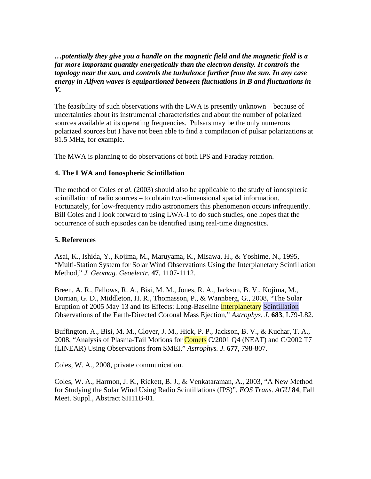*…potentially they give you a handle on the magnetic field and the magnetic field is a far more important quantity energetically than the electron density. It controls the topology near the sun, and controls the turbulence further from the sun. In any case energy in Alfven waves is equipartioned between fluctuations in B and fluctuations in V.* 

The feasibility of such observations with the LWA is presently unknown – because of uncertainties about its instrumental characteristics and about the number of polarized sources available at its operating frequencies. Pulsars may be the only numerous polarized sources but I have not been able to find a compilation of pulsar polarizations at 81.5 MHz, for example.

The MWA is planning to do observations of both IPS and Faraday rotation.

## **4. The LWA and Ionospheric Scintillation**

The method of Coles *et al.* (2003) should also be applicable to the study of ionospheric scintillation of radio sources – to obtain two-dimensional spatial information. Fortunately, for low-frequency radio astronomers this phenomenon occurs infrequently. Bill Coles and I look forward to using LWA-1 to do such studies; one hopes that the occurrence of such episodes can be identified using real-time diagnostics.

## **5. References**

Asai, K., Ishida, Y., Kojima, M., Maruyama, K., Misawa, H., & Yoshime, N., 1995, "Multi-Station System for Solar Wind Observations Using the Interplanetary Scintillation Method," *J. Geomag. Geoelectr.* **47**, 1107-1112.

[Breen, A. R.](http://adsabs.harvard.edu/cgi-bin/author_form?author=Breen,+A&fullauthor=Breen,%20A.%20R.&charset=UTF-8&db_key=AST), [Fallows, R. A.,](http://adsabs.harvard.edu/cgi-bin/author_form?author=Fallows,+R&fullauthor=Fallows,%20R.%20A.&charset=UTF-8&db_key=AST) [Bisi, M. M.,](http://adsabs.harvard.edu/cgi-bin/author_form?author=Bisi,+M&fullauthor=Bisi,%20M.%20M.&charset=UTF-8&db_key=AST) [Jones, R. A.,](http://adsabs.harvard.edu/cgi-bin/author_form?author=Jones,+R&fullauthor=Jones,%20R.%20A.&charset=UTF-8&db_key=AST) [Jackson, B. V.,](http://adsabs.harvard.edu/cgi-bin/author_form?author=Jackson,+B&fullauthor=Jackson,%20B.%20V.&charset=UTF-8&db_key=AST) [Kojima, M.](http://adsabs.harvard.edu/cgi-bin/author_form?author=Kojima,+M&fullauthor=Kojima,%20M.&charset=UTF-8&db_key=AST), [Dorrian, G. D.,](http://adsabs.harvard.edu/cgi-bin/author_form?author=Dorrian,+G&fullauthor=Dorrian,%20G.%20D.&charset=UTF-8&db_key=AST) [Middleton, H. R.](http://adsabs.harvard.edu/cgi-bin/author_form?author=Middleton,+H&fullauthor=Middleton,%20H.%20R.&charset=UTF-8&db_key=AST), [Thomasson, P.](http://adsabs.harvard.edu/cgi-bin/author_form?author=Thomasson,+P&fullauthor=Thomasson,%20P.&charset=UTF-8&db_key=AST), & [Wannberg, G.](http://adsabs.harvard.edu/cgi-bin/author_form?author=Wannberg,+G&fullauthor=Wannberg,%20G.&charset=UTF-8&db_key=AST), 2008, "The Solar Eruption of 2005 May 13 and Its Effects: Long-Baseline Interplanetary Scintillation Observations of the Earth-Directed Coronal Mass Ejection," *Astrophys. J.* **683**, L79-L82.

[Buffington, A.](http://adsabs.harvard.edu/cgi-bin/author_form?author=Buffington,+A&fullauthor=Buffington,%20A.&charset=UTF-8&db_key=AST), [Bisi, M. M.](http://adsabs.harvard.edu/cgi-bin/author_form?author=Bisi,+M&fullauthor=Bisi,%20M.%20M.&charset=UTF-8&db_key=AST), [Clover, J. M.](http://adsabs.harvard.edu/cgi-bin/author_form?author=Clover,+J&fullauthor=Clover,%20J.%20M.&charset=UTF-8&db_key=AST), [Hick, P. P.,](http://adsabs.harvard.edu/cgi-bin/author_form?author=Hick,+P&fullauthor=Hick,%20P.%20P.&charset=UTF-8&db_key=AST) [Jackson, B. V.](http://adsabs.harvard.edu/cgi-bin/author_form?author=Jackson,+B&fullauthor=Jackson,%20B.%20V.&charset=UTF-8&db_key=AST), & [Kuchar, T. A.,](http://adsabs.harvard.edu/cgi-bin/author_form?author=Kuchar,+T&fullauthor=Kuchar,%20T.%20A.&charset=UTF-8&db_key=AST) 2008, "Analysis of Plasma-Tail Motions for **Comets** C/2001 Q4 (NEAT) and C/2002 T7 (LINEAR) Using Observations from SMEI," *Astrophys. J.* **677**, 798-807.

Coles, W. A., 2008, private communication.

Coles, W. A., Harmon, J. K., Rickett, B. J., & Venkataraman, A., 2003, "A New Method for Studying the Solar Wind Using Radio Scintillations (IPS)", *EOS Trans. AGU* **84**, Fall Meet. Suppl., Abstract SH11B-01.